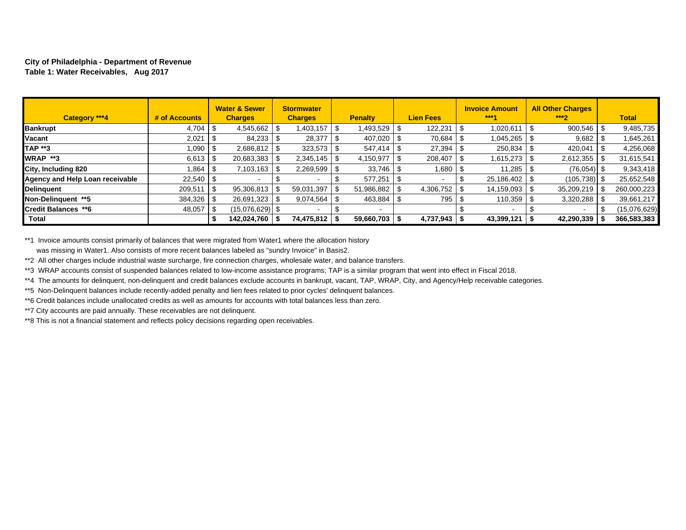#### **City of Philadelphia - Department of Revenue Table 1: Water Receivables, Aug 2017**

| Category ***4                   | # of Accounts |      | <b>Water &amp; Sewer</b><br><b>Charges</b> | <b>Stormwater</b><br><b>Charges</b> | <b>Penalty</b> | <b>Lien Fees</b> | <b>Invoice Amount</b><br>$***1$ |      | <b>All Other Charges</b><br>$***2$ | <b>Total</b> |
|---------------------------------|---------------|------|--------------------------------------------|-------------------------------------|----------------|------------------|---------------------------------|------|------------------------------------|--------------|
| <b>Bankrupt</b>                 |               |      | 4,545,662                                  | 1,403,157                           | 1,493,529      | 122,231          | 1,020,611                       |      | 900,546                            | 9,485,735    |
| Vacant                          | 2,021         |      | 84,233                                     | 28,377                              | 407,020        | 70,684           | 1,045,265                       |      | 9,682                              | 1,645,261    |
| <b>TAP **3</b>                  | 1,090         |      |                                            | 323,573                             | 547.414        | 27,394           | 250,834                         |      | 420,041                            | 4,256,068    |
| <b>WRAP **3</b>                 |               |      | 20,683,383                                 | 2,345,145                           | 4,150,977      | 208,407          | 1,615,273                       |      | 2,612,355                          | 31,615,541   |
| City, Including 820             | 1.864         |      | $7,103,163$ \$                             | 2,269,599                           | 33.746         | 1,680            | 11,285                          |      | (76, 054)                          | 9,343,418    |
| Agency and Help Loan receivable | $22,540$ \$   |      |                                            |                                     | 577.251        |                  | 25,186,402                      |      | $(105, 738)$ \$                    | 25,652,548   |
| <b>Delinguent</b>               | 209,511       | l \$ | $95,306,813$ \ \$                          | 59,031,397                          | 51.986.882     | 4,306,752        | 14.159.093                      | - \$ | 35,209,219                         | 260,000,223  |
| Non-Delinguent **5              |               |      |                                            | 9,074,564                           | 463,884        | 795              | 110,359                         |      | 3,320,288                          | 39,661,217   |
| <b>Credit Balances **6</b>      | 48,057        | l \$ | (15,076,629)   \$                          |                                     |                |                  |                                 |      |                                    | (15,076,629) |
| <b>Total</b>                    |               |      | 142,024,760   \$                           | 74,475,812                          | 59,660,703     | 4,737,943        | $43,399,121$ \$                 |      | 42,290,339                         | 366,583,383  |

\*\*1 Invoice amounts consist primarily of balances that were migrated from Water1 where the allocation history was missing in Water1. Also consists of more recent balances labeled as "sundry Invoice" in Basis2.

\*\*2 All other charges include industrial waste surcharge, fire connection charges, wholesale water, and balance transfers.

\*\*3 WRAP accounts consist of suspended balances related to low-income assistance programs; TAP is a similar program that went into effect in Fiscal 2018.

\*\*4 The amounts for delinquent, non-delinquent and credit balances exclude accounts in bankrupt, vacant, TAP, WRAP, City, and Agency/Help receivable categories.

\*\*5 Non-Delinquent balances include recently-added penalty and lien fees related to prior cycles' delinquent balances.

\*\*6 Credit balances include unallocated credits as well as amounts for accounts with total balances less than zero.

\*\*7 City accounts are paid annually. These receivables are not delinquent.

\*\*8 This is not a financial statement and reflects policy decisions regarding open receivables.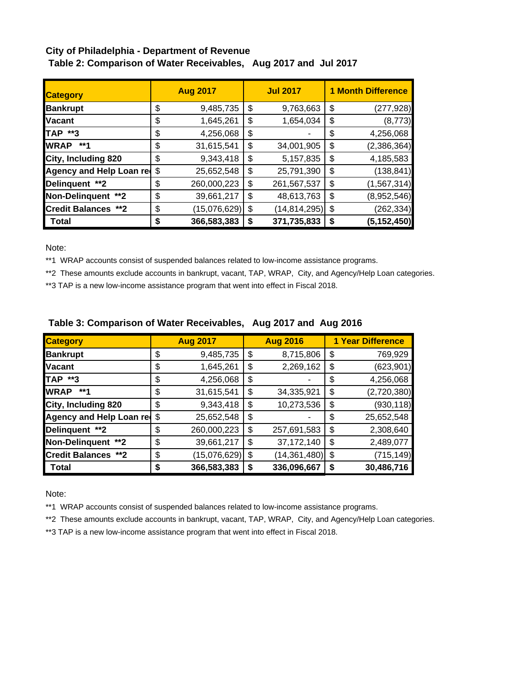# **City of Philadelphia - Department of Revenue Table 2: Comparison of Water Receivables, Aug 2017 and Jul 2017**

| <b>Category</b>            | <b>Aug 2017</b>    |    | <b>Jul 2017</b> | <b>1 Month Difference</b> |               |  |  |  |
|----------------------------|--------------------|----|-----------------|---------------------------|---------------|--|--|--|
| <b>Bankrupt</b>            | \$<br>9,485,735    | \$ | 9,763,663       | \$                        | (277, 928)    |  |  |  |
| <b>Vacant</b>              | \$<br>1,645,261    | \$ | 1,654,034       | \$                        | (8, 773)      |  |  |  |
| TAP **3                    | \$<br>4,256,068    | \$ |                 | \$                        | 4,256,068     |  |  |  |
| <b>WRAP</b><br>**1         | \$<br>31,615,541   | \$ | 34,001,905      | \$                        | (2,386,364)   |  |  |  |
| City, Including 820        | \$<br>9,343,418    | \$ | 5,157,835       | \$                        | 4,185,583     |  |  |  |
| Agency and Help Loan red   | \$<br>25,652,548   | \$ | 25,791,390      | \$                        | (138, 841)    |  |  |  |
| Delinquent **2             | \$<br>260,000,223  | \$ | 261,567,537     | \$                        | (1, 567, 314) |  |  |  |
| Non-Delinquent **2         | \$<br>39,661,217   | \$ | 48,613,763      | \$                        | (8,952,546)   |  |  |  |
| <b>Credit Balances **2</b> | \$<br>(15,076,629) | \$ | (14, 814, 295)  | \$                        | (262, 334)    |  |  |  |
| Total                      | \$<br>366,583,383  | S  | 371,735,833     | \$                        | (5, 152, 450) |  |  |  |

Note:

\*\*1 WRAP accounts consist of suspended balances related to low-income assistance programs.

\*\*2 These amounts exclude accounts in bankrupt, vacant, TAP, WRAP, City, and Agency/Help Loan categories.

\*\*3 TAP is a new low-income assistance program that went into effect in Fiscal 2018.

| <b>Category</b>                 |    | <b>Aug 2017</b> | <b>Aug 2016</b>      | <b>1 Year Difference</b> |             |  |  |  |
|---------------------------------|----|-----------------|----------------------|--------------------------|-------------|--|--|--|
| <b>Bankrupt</b>                 | \$ | 9,485,735       | \$<br>8,715,806      | \$                       | 769,929     |  |  |  |
| <b>Vacant</b>                   | \$ | 1,645,261       | \$<br>2,269,162      | \$                       | (623, 901)  |  |  |  |
| <b>TAP **3</b>                  | \$ | 4,256,068       | \$                   | \$                       | 4,256,068   |  |  |  |
| <b>WRAP</b><br>**1              | \$ | 31,615,541      | \$<br>34,335,921     | \$                       | (2,720,380) |  |  |  |
| City, Including 820             | \$ | 9,343,418       | \$<br>10,273,536     | \$                       | (930, 118)  |  |  |  |
| <b>Agency and Help Loan red</b> | \$ | 25,652,548      | \$                   | \$                       | 25,652,548  |  |  |  |
| Delinquent **2                  | \$ | 260,000,223     | \$<br>257,691,583    | \$                       | 2,308,640   |  |  |  |
| Non-Delinquent **2              | \$ | 39,661,217      | \$<br>37, 172, 140   | \$                       | 2,489,077   |  |  |  |
| <b>Credit Balances **2</b>      | \$ | (15,076,629)    | \$<br>(14, 361, 480) | \$                       | (715, 149)  |  |  |  |
| Total                           | S  | 366,583,383     | \$<br>336,096,667    | \$                       | 30,486,716  |  |  |  |

## **Table 3: Comparison of Water Receivables, Aug 2017 and Aug 2016**

Note:

\*\*1 WRAP accounts consist of suspended balances related to low-income assistance programs.

\*\*2 These amounts exclude accounts in bankrupt, vacant, TAP, WRAP, City, and Agency/Help Loan categories.

\*\*3 TAP is a new low-income assistance program that went into effect in Fiscal 2018.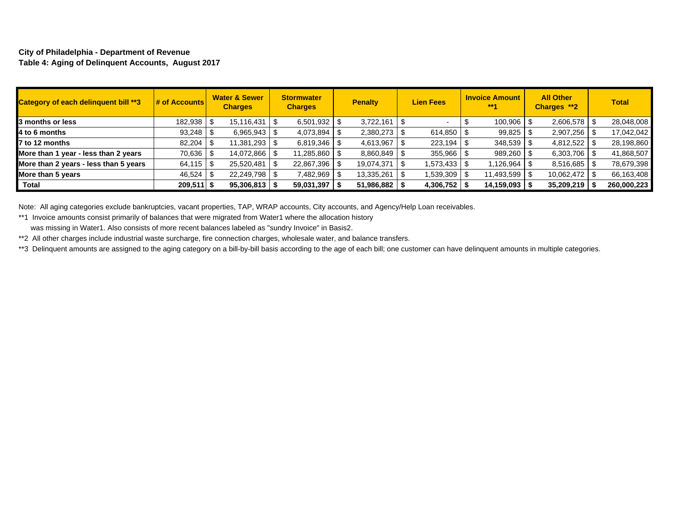#### **City of Philadelphia - Department of Revenue Table 4: Aging of Delinquent Accounts, August 2017**

| Category of each delinquent bill **3  | # of Accounts | <b>Water &amp; Sewer</b><br><b>Charges</b> | <b>Stormwater</b><br><b>Charges</b> | <b>Penalty</b> | <b>Lien Fees</b> | <b>Invoice Amount</b><br>$***1$ | <b>All Other</b><br>Charges **2 | <b>Total</b> |
|---------------------------------------|---------------|--------------------------------------------|-------------------------------------|----------------|------------------|---------------------------------|---------------------------------|--------------|
| 3 months or less                      | 182,938 \$    | 15,116,431                                 | 6,501,932                           | 3,722,161      |                  | $100,906$   \$                  | $2,606,578$ \$                  | 28,048,008   |
| 4 to 6 months                         | 93,248        | $6,965,943$ \ \ \$                         | 4,073,894                           | 2,380,273      | 614,850          | 99,825                          | 2,907,256                       | 17,042,042   |
| 7 to 12 months                        | 82.204        | 11,381,293   \$                            | 6,819,346                           | 4,613,967      | 223,194          | $348,539$ \$                    | 4,812,522                       | 28,198,860   |
| More than 1 year - less than 2 years  | 70,636 \$     | 14,072,866   \$                            | 11,285,860                          | 8,860,849      | 355,966          | 989,260 \$                      | $6,303,706$ \ \ \$              | 41,868,507   |
| More than 2 years - less than 5 years |               | 25,520,481                                 | 22,867,396                          | 19,074,371     | 1,573,433 S      | $.126.964$ \ \$                 | $8,516,685$ \ \ \$              | 78,679,398   |
| More than 5 years                     | 46,524        | 22,249,798 \$                              | 7,482,969                           | 13,335,261     | 1,539,309        | 11,493,599   \$                 | 10,062,472   \$                 | 66,163,408   |
| Total                                 | $209.511$ \$  | 95,306,813                                 | 59,031,397                          | 51,986,882     | 4,306,752        | 14,159,093                      | 35,209,219                      | 260,000,223  |

Note: All aging categories exclude bankruptcies, vacant properties, TAP, WRAP accounts, City accounts, and Agency/Help Loan receivables.

\*\*1 Invoice amounts consist primarily of balances that were migrated from Water1 where the allocation history

was missing in Water1. Also consists of more recent balances labeled as "sundry Invoice" in Basis2.

\*\*2 All other charges include industrial waste surcharge, fire connection charges, wholesale water, and balance transfers.

\*\*3 Delinquent amounts are assigned to the aging category on a bill-by-bill basis according to the age of each bill; one customer can have delinquent amounts in multiple categories.